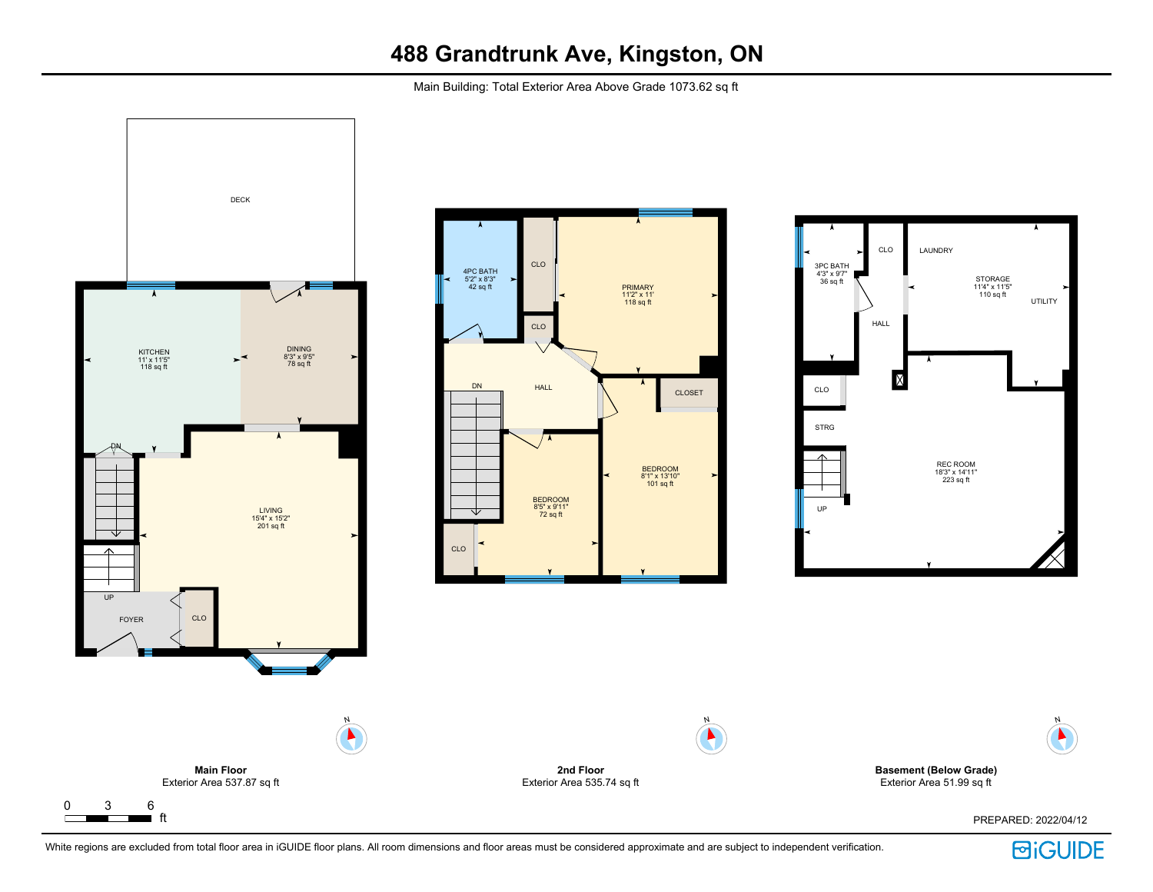Main Building: Total Exterior Area Above Grade 1073.62 sq ft





**Basement (Below Grade)** Exterior Area 51.99 sq ft

PREPARED: 2022/04/12

White regions are excluded from total floor area in iGUIDE floor plans. All room dimensions and floor areas must be considered approximate and are subject to independent verification.



N

 $\blacktriangleright$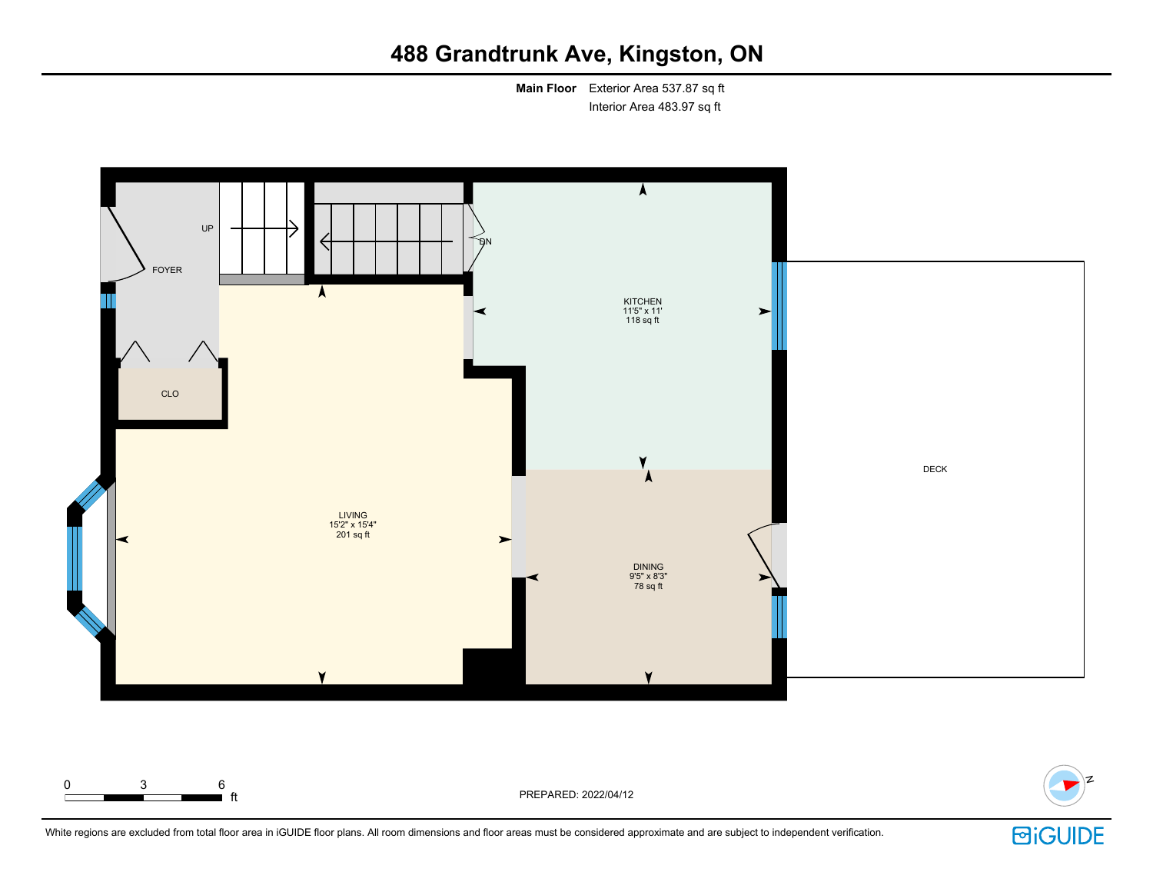**Main Floor** Exterior Area 537.87 sq ft Interior Area 483.97 sq ft



0 3 6 **T** ft **F**t PREPARED: 2022/04/12 N

White regions are excluded from total floor area in iGUIDE floor plans. All room dimensions and floor areas must be considered approximate and are subject to independent verification.

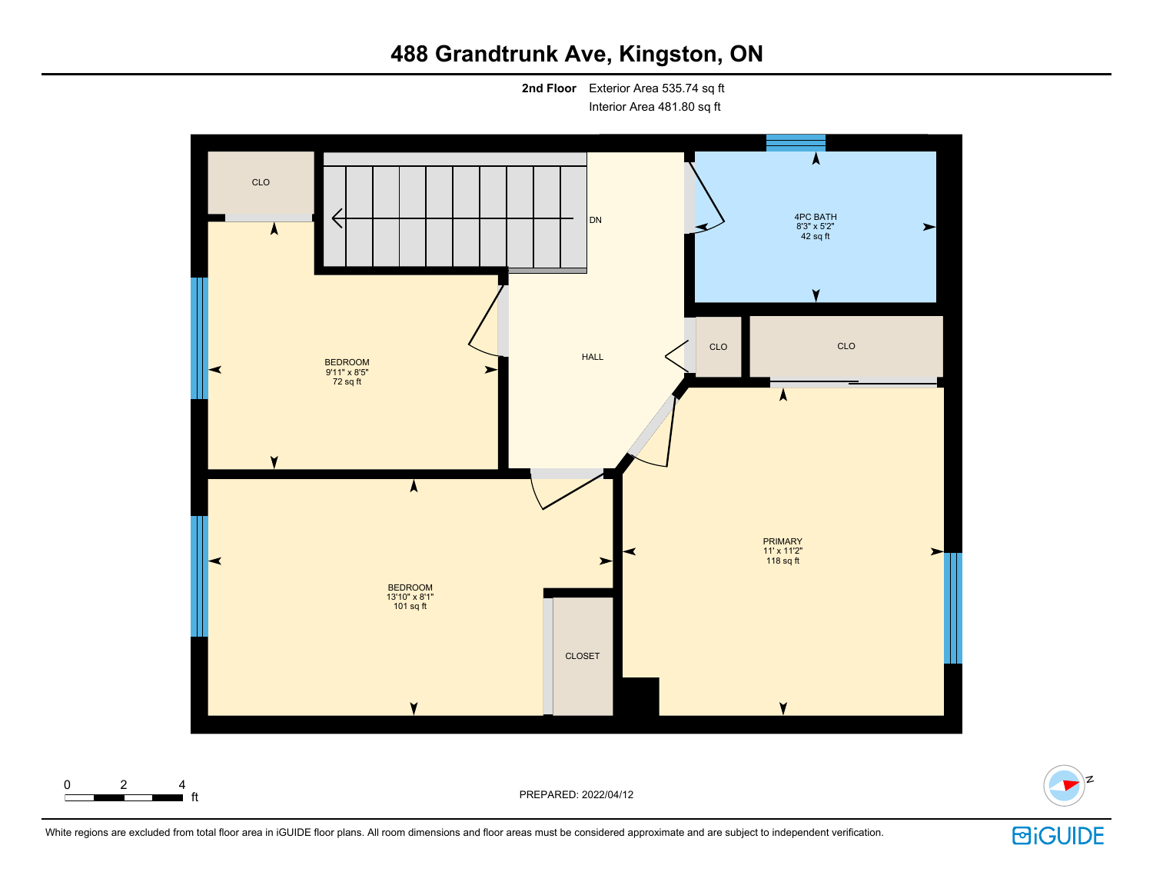**2nd Floor** Exterior Area 535.74 sq ft Interior Area 481.80 sq ft





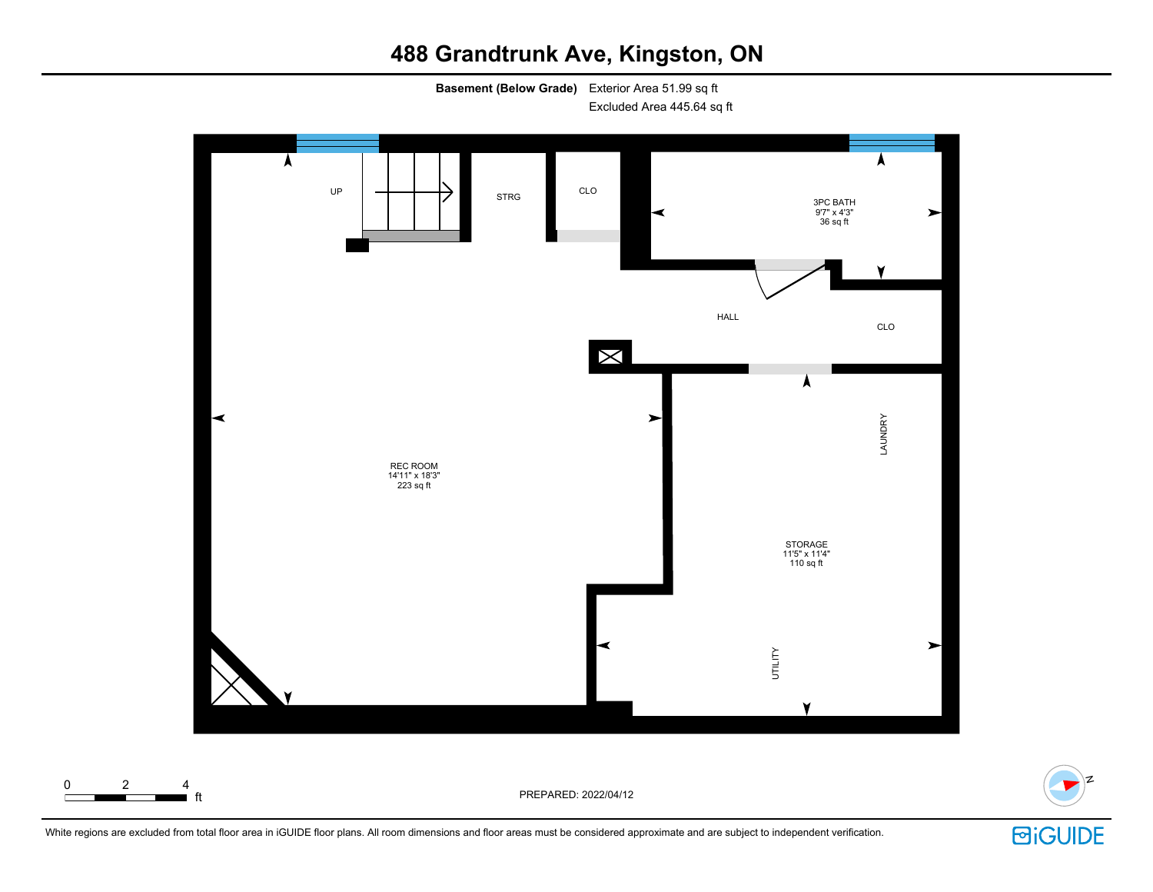**Basement (Below Grade)** Exterior Area 51.99 sq ft

Excluded Area 445.64 sq ft



White regions are excluded from total floor area in iGUIDE floor plans. All room dimensions and floor areas must be considered approximate and are subject to independent verification.



N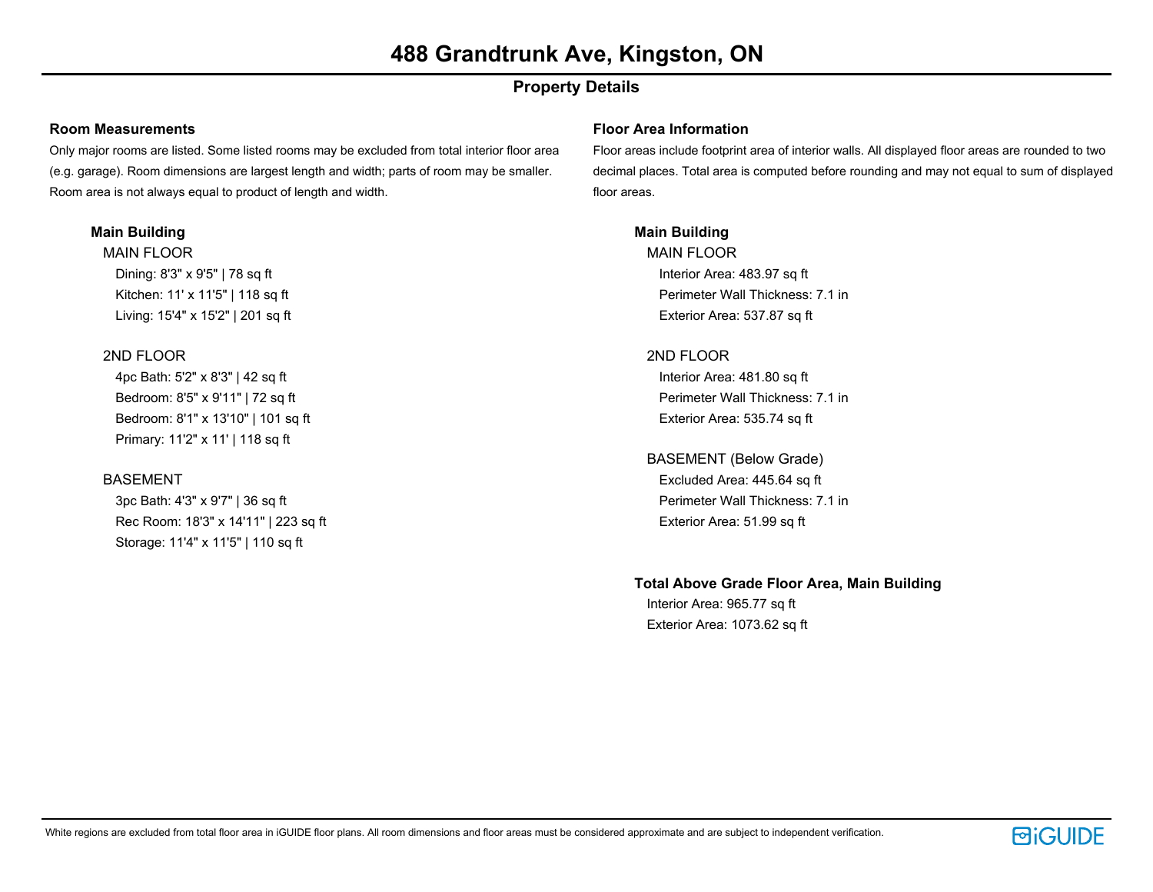## **Property Details**

#### **Room Measurements**

Only major rooms are listed. Some listed rooms may be excluded from total interior floor area (e.g. garage). Room dimensions are largest length and width; parts of room may be smaller. Room area is not always equal to product of length and width.

### **Main Building**

MAIN FLOOR Dining: 8'3" x 9'5" | 78 sq ft Kitchen: 11' x 11'5" | 118 sq ft Living: 15'4" x 15'2" | 201 sq ft

### 2ND FLOOR

4pc Bath: 5'2" x 8'3" | 42 sq ft Bedroom: 8'5" x 9'11" | 72 sq ft Bedroom: 8'1" x 13'10" | 101 sq ft Primary: 11'2" x 11' | 118 sq ft

### BASEMENT

3pc Bath: 4'3" x 9'7" | 36 sq ft Rec Room: 18'3" x 14'11" | 223 sq ft Storage: 11'4" x 11'5" | 110 sq ft

#### **Floor Area Information**

Floor areas include footprint area of interior walls. All displayed floor areas are rounded to two decimal places. Total area is computed before rounding and may not equal to sum of displayed floor areas.

### **Main Building**

MAIN FLOOR Interior Area: 483.97 sq ft Perimeter Wall Thickness: 7.1 in Exterior Area: 537.87 sq ft

### 2ND FLOOR

Interior Area: 481.80 sq ft Perimeter Wall Thickness: 7.1 in Exterior Area: 535.74 sq ft

### BASEMENT (Below Grade) Excluded Area: 445.64 sq ft

Perimeter Wall Thickness: 7.1 in Exterior Area: 51.99 sq ft

### **Total Above Grade Floor Area, Main Building**

Interior Area: 965.77 sq ft Exterior Area: 1073.62 sq ft